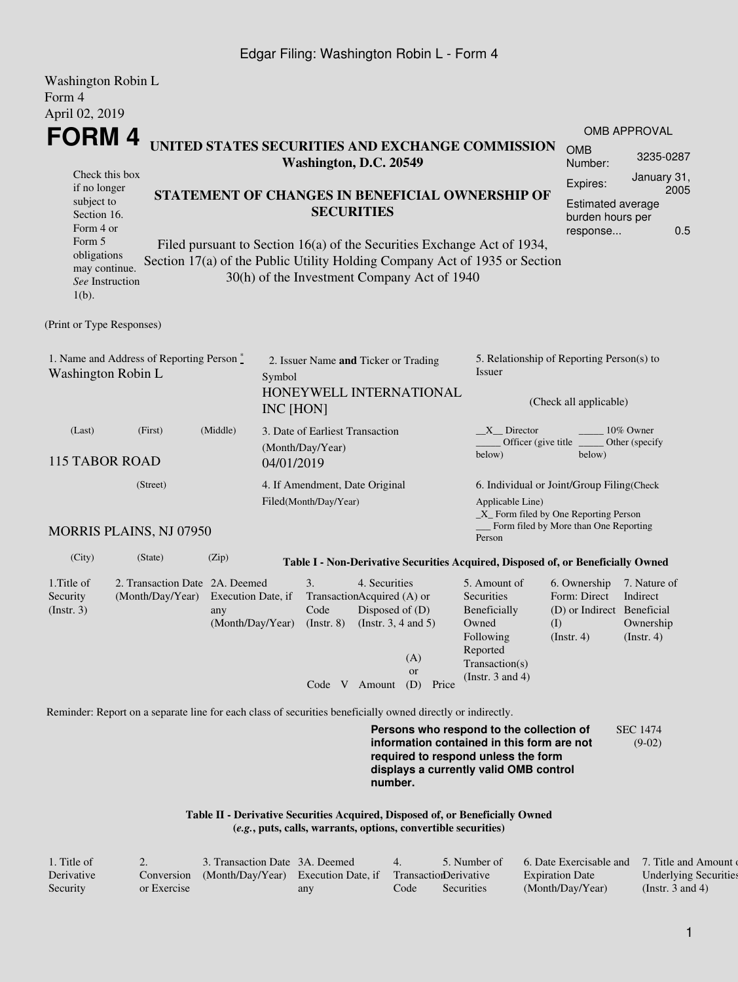## Edgar Filing: Washington Robin L - Form 4

| Washington Robin L<br>Form 4                                                                                                                      |                                                                                                             |                                                                                                                                                                           |                                                                      |                                                     |                                                                                                             |                           |                                                                                                                                                                         |                                                                                       |                                                           |  |
|---------------------------------------------------------------------------------------------------------------------------------------------------|-------------------------------------------------------------------------------------------------------------|---------------------------------------------------------------------------------------------------------------------------------------------------------------------------|----------------------------------------------------------------------|-----------------------------------------------------|-------------------------------------------------------------------------------------------------------------|---------------------------|-------------------------------------------------------------------------------------------------------------------------------------------------------------------------|---------------------------------------------------------------------------------------|-----------------------------------------------------------|--|
| April 02, 2019                                                                                                                                    |                                                                                                             |                                                                                                                                                                           |                                                                      |                                                     |                                                                                                             |                           |                                                                                                                                                                         |                                                                                       |                                                           |  |
| FORM 4                                                                                                                                            |                                                                                                             |                                                                                                                                                                           |                                                                      |                                                     |                                                                                                             |                           |                                                                                                                                                                         |                                                                                       | OMB APPROVAL                                              |  |
|                                                                                                                                                   |                                                                                                             |                                                                                                                                                                           |                                                                      | Washington, D.C. 20549                              |                                                                                                             |                           | UNITED STATES SECURITIES AND EXCHANGE COMMISSION                                                                                                                        | <b>OMB</b><br>Number:                                                                 | 3235-0287                                                 |  |
| Check this box<br>if no longer<br>subject to<br>Section 16.<br>Form 4 or<br>Form 5<br>obligations<br>may continue.<br>See Instruction<br>$1(b)$ . | Section 17(a) of the Public Utility Holding Company Act of 1935 or Section                                  | STATEMENT OF CHANGES IN BENEFICIAL OWNERSHIP OF<br>Filed pursuant to Section 16(a) of the Securities Exchange Act of 1934,<br>30(h) of the Investment Company Act of 1940 | Expires:<br><b>Estimated average</b><br>burden hours per<br>response | January 31,<br>2005<br>0.5                          |                                                                                                             |                           |                                                                                                                                                                         |                                                                                       |                                                           |  |
| (Print or Type Responses)                                                                                                                         |                                                                                                             |                                                                                                                                                                           |                                                                      |                                                     |                                                                                                             |                           |                                                                                                                                                                         |                                                                                       |                                                           |  |
| 1. Name and Address of Reporting Person*<br>Washington Robin L                                                                                    | Symbol<br>INC [HON]                                                                                         | 2. Issuer Name and Ticker or Trading                                                                                                                                      |                                                                      | HONEYWELL INTERNATIONAL                             | 5. Relationship of Reporting Person(s) to<br>Issuer<br>(Check all applicable)                               |                           |                                                                                                                                                                         |                                                                                       |                                                           |  |
| (Middle)<br>(First)<br>(Last)<br><b>115 TABOR ROAD</b>                                                                                            |                                                                                                             |                                                                                                                                                                           | 04/01/2019                                                           | 3. Date of Earliest Transaction<br>(Month/Day/Year) |                                                                                                             |                           | $X$ Director<br>10% Owner<br>Officer (give title)<br>Other (specify<br>below)<br>below)                                                                                 |                                                                                       |                                                           |  |
|                                                                                                                                                   |                                                                                                             | 4. If Amendment, Date Original<br>Filed(Month/Day/Year)                                                                                                                   |                                                                      |                                                     | 6. Individual or Joint/Group Filing(Check<br>Applicable Line)<br>_X_ Form filed by One Reporting Person     |                           |                                                                                                                                                                         |                                                                                       |                                                           |  |
|                                                                                                                                                   | <b>MORRIS PLAINS, NJ 07950</b>                                                                              |                                                                                                                                                                           |                                                                      |                                                     |                                                                                                             |                           | Person                                                                                                                                                                  | Form filed by More than One Reporting                                                 |                                                           |  |
| (City)                                                                                                                                            | (State)                                                                                                     | (Zip)                                                                                                                                                                     |                                                                      |                                                     |                                                                                                             |                           | Table I - Non-Derivative Securities Acquired, Disposed of, or Beneficially Owned                                                                                        |                                                                                       |                                                           |  |
| 1. Title of<br>Security<br>(Insert. 3)                                                                                                            | 2. Transaction Date 2A. Deemed<br>(Month/Day/Year)                                                          | Execution Date, if<br>any<br>(Month/Day/Year)                                                                                                                             |                                                                      | 3.<br>Code<br>$($ Instr. $8)$                       | 4. Securities<br>TransactionAcquired (A) or<br>Disposed of (D)<br>(Instr. $3, 4$ and $5$ )<br>Code V Amount | (A)<br>or<br>(D)<br>Price | 5. Amount of<br>Securities<br>Beneficially<br>Owned<br>Following<br>Reported<br>Transaction(s)<br>(Instr. $3$ and $4$ )                                                 | 6. Ownership<br>Form: Direct<br>(D) or Indirect Beneficial<br>(I)<br>$($ Instr. 4 $)$ | 7. Nature of<br>Indirect<br>Ownership<br>$($ Instr. 4 $)$ |  |
|                                                                                                                                                   | Reminder: Report on a separate line for each class of securities beneficially owned directly or indirectly. |                                                                                                                                                                           |                                                                      |                                                     |                                                                                                             |                           |                                                                                                                                                                         |                                                                                       |                                                           |  |
|                                                                                                                                                   |                                                                                                             |                                                                                                                                                                           |                                                                      |                                                     | number.                                                                                                     |                           | Persons who respond to the collection of<br>information contained in this form are not<br>required to respond unless the form<br>displays a currently valid OMB control |                                                                                       | <b>SEC 1474</b><br>$(9-02)$                               |  |

**Table II - Derivative Securities Acquired, Disposed of, or Beneficially Owned (***e.g.***, puts, calls, warrants, options, convertible securities)**

| 1. Title of | $\sim$      | 3. Transaction Date 3A. Deemed      |     | $\overline{4}$ | 5. Number of          | 6. Date Exercisable and | 7. Title and Amount of       |
|-------------|-------------|-------------------------------------|-----|----------------|-----------------------|-------------------------|------------------------------|
| Derivative  | Conversion  | (Month/Dav/Year) Execution Date, if |     |                | TransactionDerivative | <b>Expiration Date</b>  | <b>Underlying Securities</b> |
| Security    | or Exercise |                                     | any | Code           | Securities            | (Month/Day/Year)        | (Instr. 3 and 4)             |